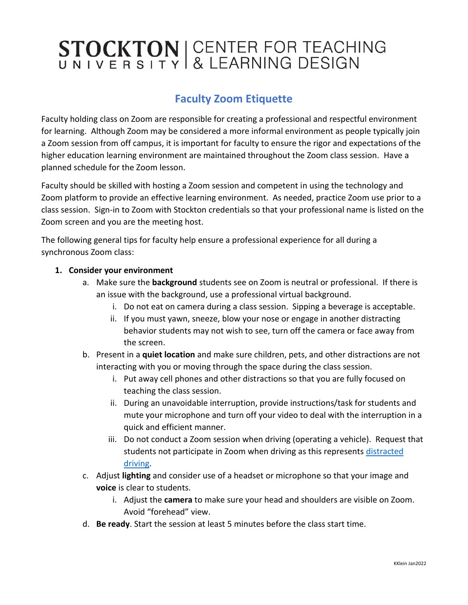# STOCKTON | CENTER FOR TEACHING

### **Faculty Zoom Etiquette**

Faculty holding class on Zoom are responsible for creating a professional and respectful environment for learning. Although Zoom may be considered a more informal environment as people typically join a Zoom session from off campus, it is important for faculty to ensure the rigor and expectations of the higher education learning environment are maintained throughout the Zoom class session. Have a planned schedule for the Zoom lesson.

Faculty should be skilled with hosting a Zoom session and competent in using the technology and Zoom platform to provide an effective learning environment. As needed, practice Zoom use prior to a class session. Sign-in to Zoom with Stockton credentials so that your professional name is listed on the Zoom screen and you are the meeting host.

The following general tips for faculty help ensure a professional experience for all during a synchronous Zoom class:

### **1. Consider your environment**

- a. Make sure the **background** students see on Zoom is neutral or professional. If there is an issue with the background, use a professional virtual background.
	- i. Do not eat on camera during a class session. Sipping a beverage is acceptable.
	- ii. If you must yawn, sneeze, blow your nose or engage in another distracting behavior students may not wish to see, turn off the camera or face away from the screen.
- b. Present in a **quiet location** and make sure children, pets, and other distractions are not interacting with you or moving through the space during the class session.
	- i. Put away cell phones and other distractions so that you are fully focused on teaching the class session.
	- ii. During an unavoidable interruption, provide instructions/task for students and mute your microphone and turn off your video to deal with the interruption in a quick and efficient manner.
	- iii. Do not conduct a Zoom session when driving (operating a vehicle). Request that students not participate in Zoom when driving as this represents distracted [driving.](https://stockton.edu/police/distracted-driving.html)
- c. Adjust **lighting** and consider use of a headset or microphone so that your image and **voice** is clear to students.
	- i. Adjust the **camera** to make sure your head and shoulders are visible on Zoom. Avoid "forehead" view.
- d. **Be ready**. Start the session at least 5 minutes before the class start time.